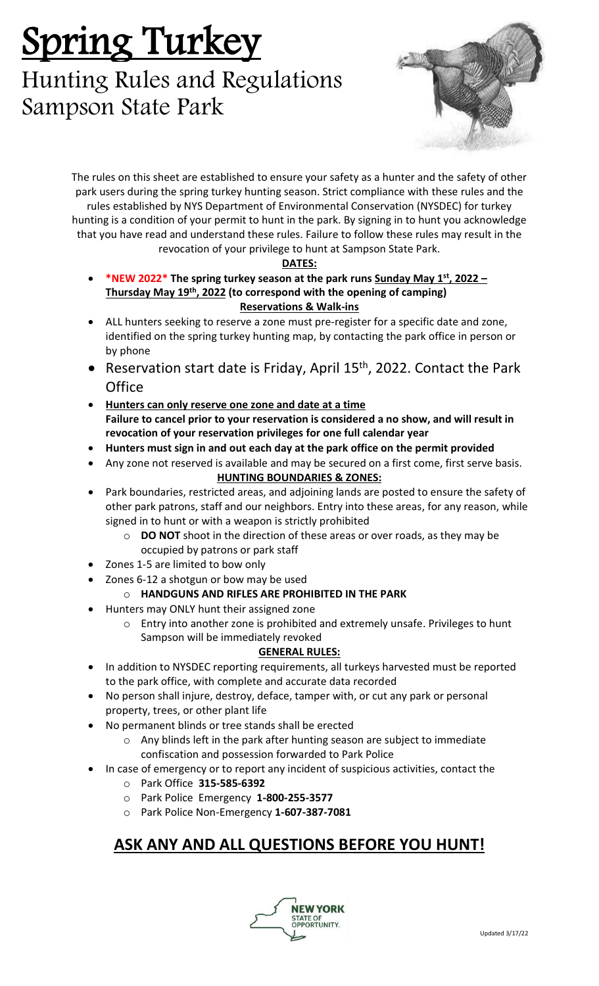# Spring Turkey

## Hunting Rules and Regulations Sampson State Park



The rules on this sheet are established to ensure your safety as a hunter and the safety of other park users during the spring turkey hunting season. Strict compliance with these rules and the rules established by NYS Department of Environmental Conservation (NYSDEC) for turkey hunting is a condition of your permit to hunt in the park. By signing in to hunt you acknowledge that you have read and understand these rules. Failure to follow these rules may result in the revocation of your privilege to hunt at Sampson State Park.

#### **DATES:**

- **\*NEW 2022\* The spring turkey season at the park runs Sunday May 1 st, 2022 – Thursday May 19th, 2022 (to correspond with the opening of camping) Reservations & Walk-ins**
- ALL hunters seeking to reserve a zone must pre-register for a specific date and zone, identified on the spring turkey hunting map, by contacting the park office in person or by phone
- Reservation start date is Friday, April 15<sup>th</sup>, 2022. Contact the Park **Office**
- **Hunters can only reserve one zone and date at a time Failure to cancel prior to your reservation is considered a no show, and will result in revocation of your reservation privileges for one full calendar year**
- **Hunters must sign in and out each day at the park office on the permit provided**
- Any zone not reserved is available and may be secured on a first come, first serve basis.

#### **HUNTING BOUNDARIES & ZONES:**

- Park boundaries, restricted areas, and adjoining lands are posted to ensure the safety of other park patrons, staff and our neighbors. Entry into these areas, for any reason, while signed in to hunt or with a weapon is strictly prohibited
	- o **DO NOT** shoot in the direction of these areas or over roads, as they may be occupied by patrons or park staff
- Zones 1-5 are limited to bow only
- Zones 6-12 a shotgun or bow may be used

#### o **HANDGUNS AND RIFLES ARE PROHIBITED IN THE PARK**

- Hunters may ONLY hunt their assigned zone
	- o Entry into another zone is prohibited and extremely unsafe. Privileges to hunt Sampson will be immediately revoked

#### **GENERAL RULES:**

- In addition to NYSDEC reporting requirements, all turkeys harvested must be reported to the park office, with complete and accurate data recorded
- No person shall injure, destroy, deface, tamper with, or cut any park or personal property, trees, or other plant life
- No permanent blinds or tree stands shall be erected
	- o Any blinds left in the park after hunting season are subject to immediate confiscation and possession forwarded to Park Police
- In case of emergency or to report any incident of suspicious activities, contact the
	- o Park Office **315-585-6392**
	- o Park Police Emergency **1-800-255-3577**
	- o Park Police Non-Emergency **1-607-387-7081**

### **ASK ANY AND ALL QUESTIONS BEFORE YOU HUNT!**